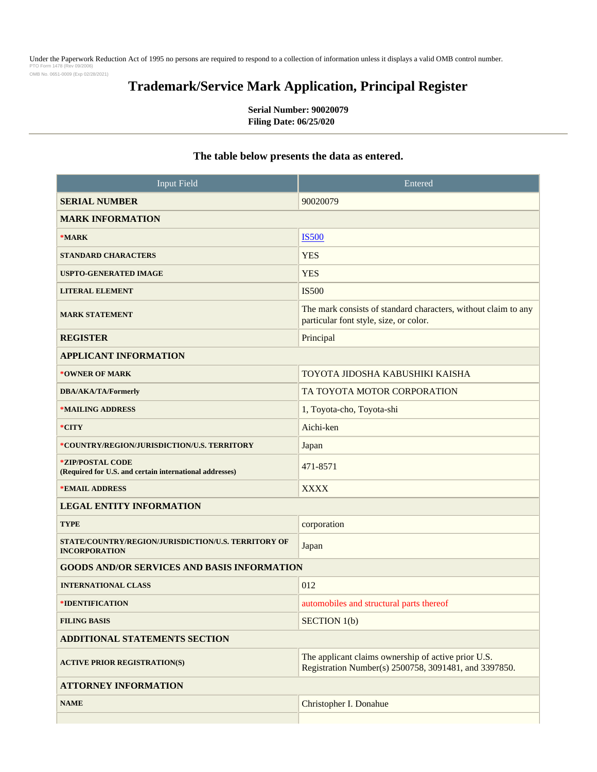Under the Paperwork Reduction Act of 1995 no persons are required to respond to a collection of information unless it displays a valid OMB control number.<br>PTO Form 1478 (Rev 09/2006) PTO Fo OMB No. 0651-0009 (Exp 02/28/2021)

# **Trademark/Service Mark Application, Principal Register**

**Serial Number: 90020079 Filing Date: 06/25/020**

# **The table below presents the data as entered.**

| <b>Input Field</b>                                                          | Entered                                                                                                      |  |
|-----------------------------------------------------------------------------|--------------------------------------------------------------------------------------------------------------|--|
| <b>SERIAL NUMBER</b>                                                        | 90020079                                                                                                     |  |
| <b>MARK INFORMATION</b>                                                     |                                                                                                              |  |
| *MARK                                                                       | <b>IS500</b>                                                                                                 |  |
| <b>STANDARD CHARACTERS</b>                                                  | <b>YES</b>                                                                                                   |  |
| <b>USPTO-GENERATED IMAGE</b>                                                | <b>YES</b>                                                                                                   |  |
| <b>LITERAL ELEMENT</b>                                                      | <b>IS500</b>                                                                                                 |  |
| <b>MARK STATEMENT</b>                                                       | The mark consists of standard characters, without claim to any<br>particular font style, size, or color.     |  |
| <b>REGISTER</b>                                                             | Principal                                                                                                    |  |
| <b>APPLICANT INFORMATION</b>                                                |                                                                                                              |  |
| *OWNER OF MARK                                                              | TOYOTA JIDOSHA KABUSHIKI KAISHA                                                                              |  |
| <b>DBA/AKA/TA/Formerly</b>                                                  | TA TOYOTA MOTOR CORPORATION                                                                                  |  |
| *MAILING ADDRESS                                                            | 1, Toyota-cho, Toyota-shi                                                                                    |  |
| *CITY                                                                       | Aichi-ken                                                                                                    |  |
| *COUNTRY/REGION/JURISDICTION/U.S. TERRITORY                                 | Japan                                                                                                        |  |
| *ZIP/POSTAL CODE<br>(Required for U.S. and certain international addresses) | 471-8571                                                                                                     |  |
| *EMAIL ADDRESS                                                              | <b>XXXX</b>                                                                                                  |  |
| <b>LEGAL ENTITY INFORMATION</b>                                             |                                                                                                              |  |
| <b>TYPE</b>                                                                 | corporation                                                                                                  |  |
| STATE/COUNTRY/REGION/JURISDICTION/U.S. TERRITORY OF<br><b>INCORPORATION</b> | Japan                                                                                                        |  |
| <b>GOODS AND/OR SERVICES AND BASIS INFORMATION</b>                          |                                                                                                              |  |
| <b>INTERNATIONAL CLASS</b>                                                  | 012                                                                                                          |  |
| <b>*IDENTIFICATION</b>                                                      | automobiles and structural parts thereof                                                                     |  |
| <b>FILING BASIS</b>                                                         | SECTION 1(b)                                                                                                 |  |
| ADDITIONAL STATEMENTS SECTION                                               |                                                                                                              |  |
| <b>ACTIVE PRIOR REGISTRATION(S)</b>                                         | The applicant claims ownership of active prior U.S.<br>Registration Number(s) 2500758, 3091481, and 3397850. |  |
| <b>ATTORNEY INFORMATION</b>                                                 |                                                                                                              |  |
| <b>NAME</b>                                                                 | Christopher I. Donahue                                                                                       |  |
|                                                                             |                                                                                                              |  |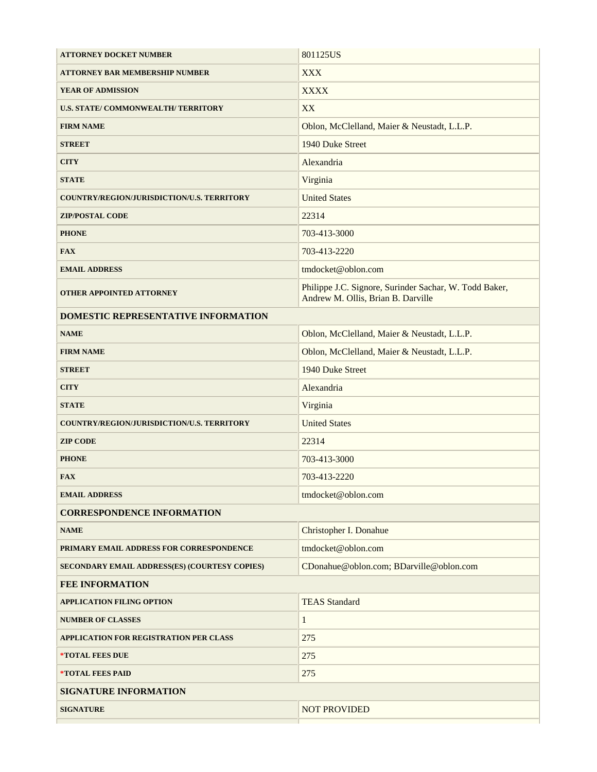| <b>ATTORNEY DOCKET NUMBER</b>                 | 801125US                                                                                     |  |
|-----------------------------------------------|----------------------------------------------------------------------------------------------|--|
| <b>ATTORNEY BAR MEMBERSHIP NUMBER</b>         | <b>XXX</b>                                                                                   |  |
| <b>YEAR OF ADMISSION</b>                      | <b>XXXX</b>                                                                                  |  |
| U.S. STATE/COMMONWEALTH/TERRITORY             | XX                                                                                           |  |
| <b>FIRM NAME</b>                              | Oblon, McClelland, Maier & Neustadt, L.L.P.                                                  |  |
| <b>STREET</b>                                 | 1940 Duke Street                                                                             |  |
| <b>CITY</b>                                   | Alexandria                                                                                   |  |
| <b>STATE</b>                                  | Virginia                                                                                     |  |
| COUNTRY/REGION/JURISDICTION/U.S. TERRITORY    | <b>United States</b>                                                                         |  |
| <b>ZIP/POSTAL CODE</b>                        | 22314                                                                                        |  |
| <b>PHONE</b>                                  | 703-413-3000                                                                                 |  |
| <b>FAX</b>                                    | 703-413-2220                                                                                 |  |
| <b>EMAIL ADDRESS</b>                          | tmdocket@oblon.com                                                                           |  |
| <b>OTHER APPOINTED ATTORNEY</b>               | Philippe J.C. Signore, Surinder Sachar, W. Todd Baker,<br>Andrew M. Ollis, Brian B. Darville |  |
| DOMESTIC REPRESENTATIVE INFORMATION           |                                                                                              |  |
| <b>NAME</b>                                   | Oblon, McClelland, Maier & Neustadt, L.L.P.                                                  |  |
| <b>FIRM NAME</b>                              | Oblon, McClelland, Maier & Neustadt, L.L.P.                                                  |  |
| <b>STREET</b>                                 | 1940 Duke Street                                                                             |  |
| <b>CITY</b>                                   | Alexandria                                                                                   |  |
| <b>STATE</b>                                  | Virginia                                                                                     |  |
| COUNTRY/REGION/JURISDICTION/U.S. TERRITORY    | <b>United States</b>                                                                         |  |
| <b>ZIP CODE</b>                               | 22314                                                                                        |  |
| <b>PHONE</b>                                  | 703-413-3000                                                                                 |  |
| <b>FAX</b>                                    | 703-413-2220                                                                                 |  |
| <b>EMAIL ADDRESS</b>                          | tmdocket@oblon.com                                                                           |  |
| <b>CORRESPONDENCE INFORMATION</b>             |                                                                                              |  |
| <b>NAME</b>                                   | Christopher I. Donahue                                                                       |  |
| PRIMARY EMAIL ADDRESS FOR CORRESPONDENCE      | tmdocket@oblon.com                                                                           |  |
| SECONDARY EMAIL ADDRESS(ES) (COURTESY COPIES) | CDonahue@oblon.com; BDarville@oblon.com                                                      |  |
| <b>FEE INFORMATION</b>                        |                                                                                              |  |
| <b>APPLICATION FILING OPTION</b>              | <b>TEAS Standard</b>                                                                         |  |
| <b>NUMBER OF CLASSES</b>                      | $\mathbf{1}$                                                                                 |  |
| <b>APPLICATION FOR REGISTRATION PER CLASS</b> | 275                                                                                          |  |
| *TOTAL FEES DUE                               | 275                                                                                          |  |
| *TOTAL FEES PAID                              | 275                                                                                          |  |
| <b>SIGNATURE INFORMATION</b>                  |                                                                                              |  |
| <b>SIGNATURE</b>                              | <b>NOT PROVIDED</b>                                                                          |  |
|                                               |                                                                                              |  |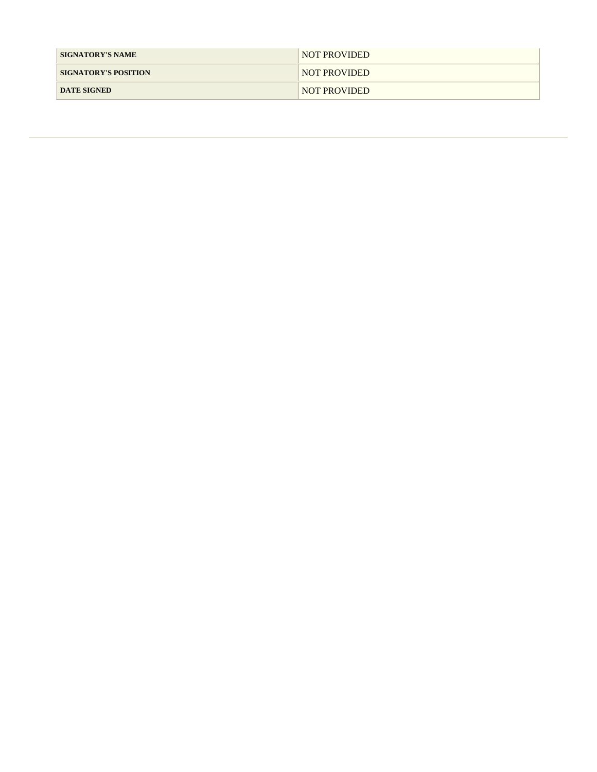| <b>SIGNATORY'S NAME</b>     | NOT PROVIDED |
|-----------------------------|--------------|
| <b>SIGNATORY'S POSITION</b> | NOT PROVIDED |
| <b>DATE SIGNED</b>          | NOT PROVIDED |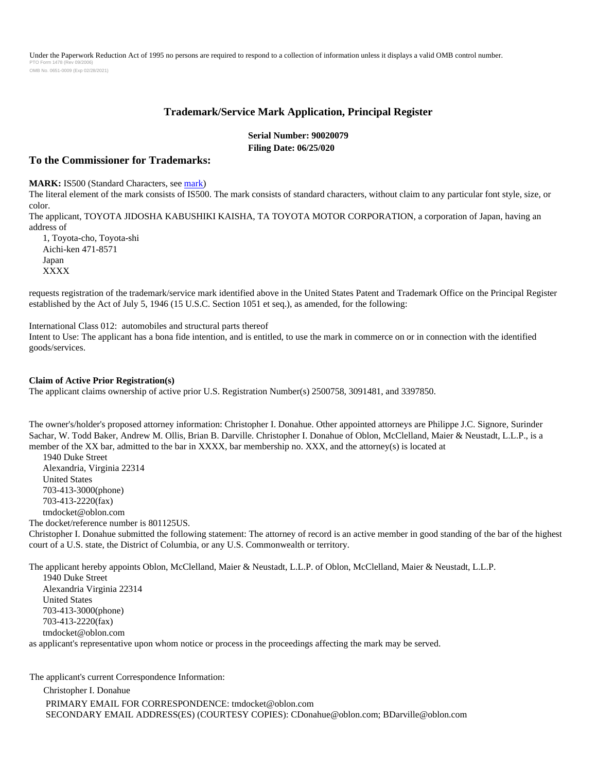Under the Paperwork Reduction Act of 1995 no persons are required to respond to a collection of information unless it displays a valid OMB control number. PTO Form 1478 (Rev 09/2006) OMB No. 0651-0009 (Exp 02/28/2021)

## **Trademark/Service Mark Application, Principal Register**

**Serial Number: 90020079 Filing Date: 06/25/020**

### **To the Commissioner for Trademarks:**

**MARK:** IS500 (Standard Characters, see [mark](../APP0002.JPG))

The literal element of the mark consists of IS500. The mark consists of standard characters, without claim to any particular font style, size, or color.

The applicant, TOYOTA JIDOSHA KABUSHIKI KAISHA, TA TOYOTA MOTOR CORPORATION, a corporation of Japan, having an address of

 1, Toyota-cho, Toyota-shi Aichi-ken 471-8571 Japan XXXX

requests registration of the trademark/service mark identified above in the United States Patent and Trademark Office on the Principal Register established by the Act of July 5, 1946 (15 U.S.C. Section 1051 et seq.), as amended, for the following:

International Class 012: automobiles and structural parts thereof

Intent to Use: The applicant has a bona fide intention, and is entitled, to use the mark in commerce on or in connection with the identified goods/services.

### **Claim of Active Prior Registration(s)**

The applicant claims ownership of active prior U.S. Registration Number(s) 2500758, 3091481, and 3397850.

The owner's/holder's proposed attorney information: Christopher I. Donahue. Other appointed attorneys are Philippe J.C. Signore, Surinder Sachar, W. Todd Baker, Andrew M. Ollis, Brian B. Darville. Christopher I. Donahue of Oblon, McClelland, Maier & Neustadt, L.L.P., is a member of the XX bar, admitted to the bar in XXXX, bar membership no. XXX, and the attorney(s) is located at

 1940 Duke Street Alexandria, Virginia 22314 United States 703-413-3000(phone) 703-413-2220(fax) tmdocket@oblon.com The docket/reference number is 801125US.

Christopher I. Donahue submitted the following statement: The attorney of record is an active member in good standing of the bar of the highest court of a U.S. state, the District of Columbia, or any U.S. Commonwealth or territory.

The applicant hereby appoints Oblon, McClelland, Maier & Neustadt, L.L.P. of Oblon, McClelland, Maier & Neustadt, L.L.P.

 1940 Duke Street Alexandria Virginia 22314 United States 703-413-3000(phone) 703-413-2220(fax) tmdocket@oblon.com

as applicant's representative upon whom notice or process in the proceedings affecting the mark may be served.

The applicant's current Correspondence Information:

 Christopher I. Donahue PRIMARY EMAIL FOR CORRESPONDENCE: tmdocket@oblon.com SECONDARY EMAIL ADDRESS(ES) (COURTESY COPIES): CDonahue@oblon.com; BDarville@oblon.com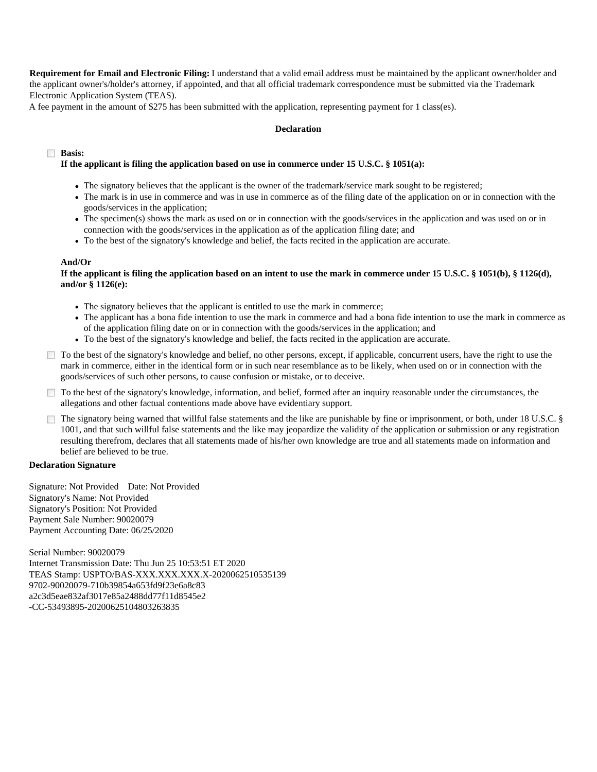**Requirement for Email and Electronic Filing:** I understand that a valid email address must be maintained by the applicant owner/holder and the applicant owner's/holder's attorney, if appointed, and that all official trademark correspondence must be submitted via the Trademark Electronic Application System (TEAS).

A fee payment in the amount of \$275 has been submitted with the application, representing payment for 1 class(es).

### **Declaration**

### **Basis:**

### **If the applicant is filing the application based on use in commerce under 15 U.S.C. § 1051(a):**

- The signatory believes that the applicant is the owner of the trademark/service mark sought to be registered;
- The mark is in use in commerce and was in use in commerce as of the filing date of the application on or in connection with the goods/services in the application;
- The specimen(s) shows the mark as used on or in connection with the goods/services in the application and was used on or in connection with the goods/services in the application as of the application filing date; and
- To the best of the signatory's knowledge and belief, the facts recited in the application are accurate.

### **And/Or**

### **If the applicant is filing the application based on an intent to use the mark in commerce under 15 U.S.C. § 1051(b), § 1126(d), and/or § 1126(e):**

- The signatory believes that the applicant is entitled to use the mark in commerce;
- The applicant has a bona fide intention to use the mark in commerce and had a bona fide intention to use the mark in commerce as of the application filing date on or in connection with the goods/services in the application; and
- To the best of the signatory's knowledge and belief, the facts recited in the application are accurate.
- $\Box$  To the best of the signatory's knowledge and belief, no other persons, except, if applicable, concurrent users, have the right to use the mark in commerce, either in the identical form or in such near resemblance as to be likely, when used on or in connection with the goods/services of such other persons, to cause confusion or mistake, or to deceive.
- To the best of the signatory's knowledge, information, and belief, formed after an inquiry reasonable under the circumstances, the allegations and other factual contentions made above have evidentiary support.
- □ The signatory being warned that willful false statements and the like are punishable by fine or imprisonment, or both, under 18 U.S.C. § 1001, and that such willful false statements and the like may jeopardize the validity of the application or submission or any registration resulting therefrom, declares that all statements made of his/her own knowledge are true and all statements made on information and belief are believed to be true.

### **Declaration Signature**

Signature: Not Provided Date: Not Provided Signatory's Name: Not Provided Signatory's Position: Not Provided Payment Sale Number: 90020079 Payment Accounting Date: 06/25/2020

Serial Number: 90020079 Internet Transmission Date: Thu Jun 25 10:53:51 ET 2020 TEAS Stamp: USPTO/BAS-XXX.XXX.XXX.X-2020062510535139 9702-90020079-710b39854a653fd9f23e6a8c83 a2c3d5eae832af3017e85a2488dd77f11d8545e2 -CC-53493895-20200625104803263835